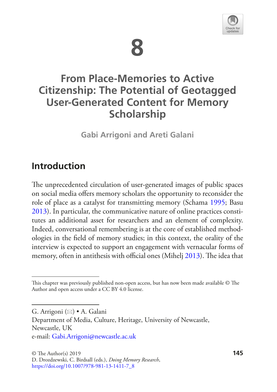



# **From Place-Memories to Active Citizenship: The Potential of Geotagged User-Generated Content for Memory Scholarship**

**Gabi Arrigoni and Areti Galani**

# **Introduction**

The unprecedented circulation of user-generated images of public spaces on social media offers memory scholars the opportunity to reconsider the role of place as a catalyst for transmitting memory (Schama [1995](#page-22-0); Basu [2013](#page-20-0)). In particular, the communicative nature of online practices constitutes an additional asset for researchers and an element of complexity. Indeed, conversational remembering is at the core of established methodologies in the field of memory studies; in this context, the orality of the interview is expected to support an engagement with vernacular forms of memory, often in antithesis with official ones (Mihelj [2013](#page-21-0)). The idea that

G. Arrigoni ( $\boxtimes$ ) • A. Galani

Department of Media, Culture, Heritage, University of Newcastle, Newcastle, UK

e-mail[: Gabi.Arrigoni@newcastle.ac.uk](mailto:Gabi.Arrigoni@newcastle.ac.uk)

This chapter was previously published non-open access, but has now been made available © The Author and open access under a CC BY 4.0 license.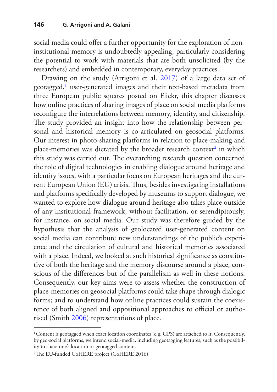social media could offer a further opportunity for the exploration of noninstitutional memory is undoubtedly appealing, particularly considering the potential to work with materials that are both unsolicited (by the researchers) and embedded in contemporary, everyday practices.

Drawing on the study (Arrigoni et al. [2017](#page-20-1)) of a large data set of geotagged,<sup>1</sup> user-generated images and their text-based metadata from three European public squares posted on Flickr, this chapter discusses how online practices of sharing images of place on social media platforms reconfigure the interrelations between memory, identity, and citizenship. The study provided an insight into how the relationship between personal and historical memory is co-articulated on geosocial platforms. Our interest in photo-sharing platforms in relation to place-making and place-memories was dictated by the broader research context<sup>[2](#page-1-1)</sup> in which this study was carried out. The overarching research question concerned the role of digital technologies in enabling dialogue around heritage and identity issues, with a particular focus on European heritages and the current European Union (EU) crisis. Thus, besides investigating installations and platforms specifically developed by museums to support dialogue, we wanted to explore how dialogue around heritage also takes place outside of any institutional framework, without facilitation, or serendipitously, for instance, on social media. Our study was therefore guided by the hypothesis that the analysis of geolocated user-generated content on social media can contribute new understandings of the public's experience and the circulation of cultural and historical memories associated with a place. Indeed, we looked at such historical significance as constitutive of both the heritage and the memory discourse around a place, conscious of the differences but of the parallelism as well in these notions. Consequently, our key aims were to assess whether the construction of place-memories on geosocial platforms could take shape through dialogic forms; and to understand how online practices could sustain the coexistence of both aligned and oppositional approaches to official or authorised (Smith [2006](#page-22-1)) representations of place.

<span id="page-1-0"></span><sup>&</sup>lt;sup>1</sup> Content is geotagged when exact location coordinates (e.g. GPS) are attached to it. Consequently, by geo-social platforms, we intend social-media, including geotagging features, such as the possibility to share one's location or geotagged content.

<span id="page-1-1"></span><sup>&</sup>lt;sup>2</sup>The EU-funded CoHERE project (CoHERE 2016).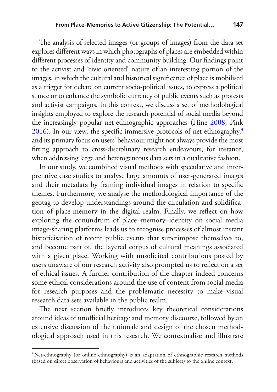The analysis of selected images (or groups of images) from the data set explores different ways in which photographs of places are embedded within different processes of identity and community building. Our findings point to the activist and 'civic oriented' nature of an interesting portion of the images, in which the cultural and historical significance of place is mobilised as a trigger for debate on current socio-political issues, to express a political stance or to enhance the symbolic currency of public events such as protests and activist campaigns. In this context, we discuss a set of methodological insights employed to explore the research potential of social media beyond the increasingly popular net-ethnographic approaches (Hine [2008](#page-21-1); Pink [2016](#page-22-2)). In our view, the specific immersive protocols of net-ethnography,<sup>3</sup> and its primary focus on users' behaviour might not always provide the most fitting approach to cross-disciplinary research endeavours, for instance, when addressing large and heterogeneous data sets in a qualitative fashion.

In our study, we combined visual methods with speculative and interpretative case studies to analyse large amounts of user-generated images and their metadata by framing individual images in relation to specific themes. Furthermore, we analyse the methodological importance of the geotag to develop understandings around the circulation and solidification of place-memory in the digital realm. Finally, we reflect on how exploring the conundrum of place–memory–identity on social media image-sharing platforms leads us to recognise processes of almost instant historicisation of recent public events that superimpose themselves to, and become part of, the layered corpus of cultural meanings associated with a given place. Working with unsolicited contributions posted by users unaware of our research activity also prompted us to reflect on a set of ethical issues. A further contribution of the chapter indeed concerns some ethical considerations around the use of content from social media for research purposes and the problematic necessity to make visual research data sets available in the public realm.

The next section briefly introduces key theoretical considerations around ideas of unofficial heritage and memory discourse, followed by an extensive discussion of the rationale and design of the chosen methodological approach used in this research. We contextualise and illustrate

<span id="page-2-0"></span><sup>&</sup>lt;sup>3</sup>Net-ethnography (or online ethnography) is an adaptation of ethnographic research methods (based on direct observation of behaviours and activities of the subject) to the online context.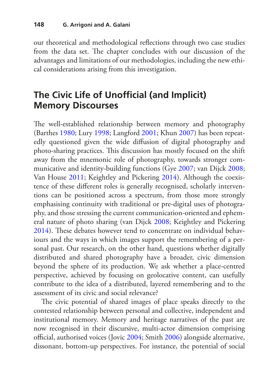our theoretical and methodological reflections through two case studies from the data set. The chapter concludes with our discussion of the advantages and limitations of our methodologies, including the new ethical considerations arising from this investigation.

# **The Civic Life of Unofficial (and Implicit) Memory Discourses**

The well-established relationship between memory and photography (Barthes [1980](#page-20-2); Lury [1998;](#page-21-2) Langford [2001](#page-21-3); Khun [2007](#page-21-4)) has been repeatedly questioned given the wide diffusion of digital photography and photo-sharing practices. This discussion has mostly focused on the shift away from the mnemonic role of photography, towards stronger communicative and identity-building functions (Gye [2007](#page-21-5); van Dijck [2008](#page-22-3); Van House [2011](#page-22-4); Keightley and Pickering [2014](#page-21-6)). Although the coexistence of these different roles is generally recognised, scholarly interventions can be positioned across a spectrum, from those more strongly emphasising continuity with traditional or pre-digital uses of photography, and those stressing the current communication-oriented and ephemeral nature of photo sharing (van Dijck [2008;](#page-22-3) Keightley and Pickering [2014](#page-21-6)). These debates however tend to concentrate on individual behaviours and the ways in which images support the remembering of a personal past. Our research, on the other hand, questions whether digitally distributed and shared photography have a broader, civic dimension beyond the sphere of its production. We ask whether a place-centred perspective, achieved by focusing on geolocative content, can usefully contribute to the idea of a distributed, layered remembering and to the assessment of its civic and social relevance?

The civic potential of shared images of place speaks directly to the contested relationship between personal and collective, independent and institutional memory. Memory and heritage narratives of the past are now recognised in their discursive, multi-actor dimension comprising official, authorised voices (Jovic [2004;](#page-21-7) Smith [2006\)](#page-22-1) alongside alternative, dissonant, bottom-up perspectives. For instance, the potential of social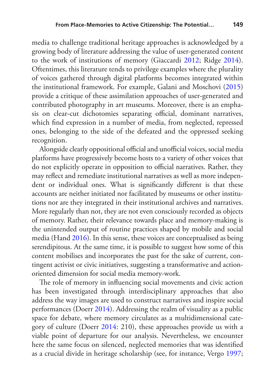media to challenge traditional heritage approaches is acknowledged by a growing body of literature addressing the value of user-generated content to the work of institutions of memory (Giaccardi [2012;](#page-20-3) Ridge [2014\)](#page-22-5). Oftentimes, this literature tends to privilege examples where the plurality of voices gathered through digital platforms becomes integrated within the institutional framework. For example, Galani and Moschovi ([2015\)](#page-20-4) provide a critique of these assimilation approaches of user-generated and contributed photography in art museums. Moreover, there is an emphasis on clear-cut dichotomies separating official, dominant narratives, which find expression in a number of media, from neglected, repressed ones, belonging to the side of the defeated and the oppressed seeking recognition.

Alongside clearly oppositional official and unofficial voices, social media platforms have progressively become hosts to a variety of other voices that do not explicitly operate in opposition to official narratives. Rather, they may reflect and remediate institutional narratives as well as more independent or individual ones. What is significantly different is that these accounts are neither initiated nor facilitated by museums or other institutions nor are they integrated in their institutional archives and narratives. More regularly than not, they are not even consciously recorded as objects of memory. Rather, their relevance towards place and memory-making is the unintended output of routine practices shaped by mobile and social media (Hand [2016\)](#page-21-8). In this sense, these voices are conceptualised as being serendipitous. At the same time, it is possible to suggest how some of this content mobilises and incorporates the past for the sake of current, contingent activist or civic initiatives, suggesting a transformative and actionoriented dimension for social media memory-work.

The role of memory in influencing social movements and civic action has been investigated through interdisciplinary approaches that also address the way images are used to construct narratives and inspire social performances (Doerr [2014\)](#page-20-5). Addressing the realm of visuality as a public space for debate, where memory circulates as a multidimensional category of culture (Doerr [2014](#page-20-5): 210), these approaches provide us with a viable point of departure for our analysis. Nevertheless, we encounter here the same focus on silenced, neglected memories that was identified as a crucial divide in heritage scholarship (see, for instance, Vergo [1997;](#page-22-6)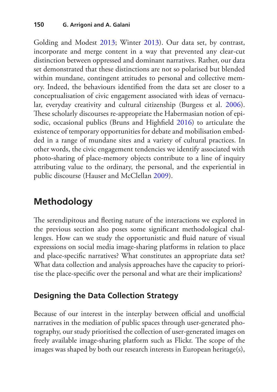Golding and Modest [2013](#page-21-9); Winter [2013](#page-22-7)). Our data set, by contrast, incorporate and merge content in a way that prevented any clear-cut distinction between oppressed and dominant narratives. Rather, our data set demonstrated that these distinctions are not so polarised but blended within mundane, contingent attitudes to personal and collective memory. Indeed, the behaviours identified from the data set are closer to a conceptualisation of civic engagement associated with ideas of vernacular, everyday creativity and cultural citizenship (Burgess et al. [2006\)](#page-20-6). These scholarly discourses re-appropriate the Habermasian notion of episodic, occasional publics (Bruns and Highfield [2016\)](#page-20-7) to articulate the existence of temporary opportunities for debate and mobilisation embedded in a range of mundane sites and a variety of cultural practices. In other words, the civic engagement tendencies we identify associated with photo-sharing of place-memory objects contribute to a line of inquiry attributing value to the ordinary, the personal, and the experiential in public discourse (Hauser and McClellan [2009\)](#page-21-10).

# **Methodology**

The serendipitous and fleeting nature of the interactions we explored in the previous section also poses some significant methodological challenges. How can we study the opportunistic and fluid nature of visual expressions on social media image-sharing platforms in relation to place and place-specific narratives? What constitutes an appropriate data set? What data collection and analysis approaches have the capacity to prioritise the place-specific over the personal and what are their implications?

### **Designing the Data Collection Strategy**

Because of our interest in the interplay between official and unofficial narratives in the mediation of public spaces through user-generated photography, our study prioritised the collection of user-generated images on freely available image-sharing platform such as Flickr. The scope of the images was shaped by both our research interests in European heritage(s),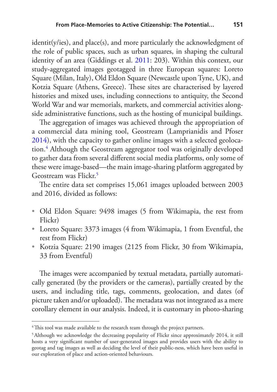identit(y/ies), and place(s), and more particularly the acknowledgment of the role of public spaces, such as urban squares, in shaping the cultural identity of an area (Giddings et al. [2011](#page-20-8): 203). Within this context, our study-aggregated images geotagged in three European squares: Loreto Square (Milan, Italy), Old Eldon Square (Newcastle upon Tyne, UK), and Kotzia Square (Athens, Greece). These sites are characterised by layered histories and mixed uses, including connections to antiquity, the Second World War and war memorials, markets, and commercial activities alongside administrative functions, such as the hosting of municipal buildings.

The aggregation of images was achieved through the appropriation of a commercial data mining tool, Geostream (Lamprianidis and Pfoser [2014](#page-21-11)), with the capacity to gather online images with a selected geolocation[.4](#page-6-0) Although the Geostream aggregator tool was originally developed to gather data from several different social media platforms, only some of these were image-based—the main image-sharing platform aggregated by Geostream was Flickr.[5](#page-6-1)

The entire data set comprises 15,061 images uploaded between 2003 and 2016, divided as follows:

- Old Eldon Square: 9498 images (5 from Wikimapia, the rest from Flickr)
- Loreto Square: 3373 images (4 from Wikimapia, 1 from Eventful, the rest from Flickr)
- Kotzia Square: 2190 images (2125 from Flickr, 30 from Wikimapia, 33 from Eventful)

The images were accompanied by textual metadata, partially automatically generated (by the providers or the cameras), partially created by the users, and including title, tags, comments, geolocation, and dates (of picture taken and/or uploaded). The metadata was not integrated as a mere corollary element in our analysis. Indeed, it is customary in photo-sharing

<span id="page-6-0"></span><sup>&</sup>lt;sup>4</sup>This tool was made available to the research team through the project partners.

<span id="page-6-1"></span><sup>5</sup>Although we acknowledge the decreasing popularity of Flickr since approximately 2014, it still hosts a very significant number of user-generated images and provides users with the ability to geotag and tag images as well as deciding the level of their public-ness, which have been useful in our exploration of place and action-oriented behaviours.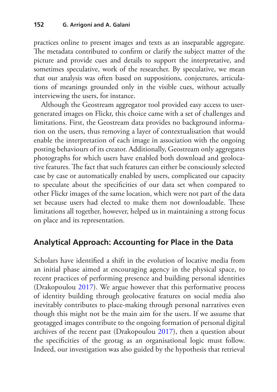practices online to present images and texts as an inseparable aggregate. The metadata contributed to confirm or clarify the subject matter of the picture and provide cues and details to support the interpretative, and sometimes speculative, work of the researcher. By speculative, we mean that our analysis was often based on suppositions, conjectures, articulations of meanings grounded only in the visible cues, without actually interviewing the users, for instance.

Although the Geostream aggregator tool provided easy access to usergenerated images on Flickr, this choice came with a set of challenges and limitations. First, the Geostream data provides no background information on the users, thus removing a layer of contextualisation that would enable the interpretation of each image in association with the ongoing posting behaviours of its creator. Additionally, Geostream only aggregates photographs for which users have enabled both download and geolocative features. The fact that such features can either be consciously selected case by case or automatically enabled by users, complicated our capacity to speculate about the specificities of our data set when compared to other Flickr images of the same location, which were not part of the data set because users had elected to make them not downloadable. These limitations all together, however, helped us in maintaining a strong focus on place and its representation.

### **Analytical Approach: Accounting for Place in the Data**

Scholars have identified a shift in the evolution of locative media from an initial phase aimed at encouraging agency in the physical space, to recent practices of performing presence and building personal identities (Drakopoulou [2017](#page-20-9)). We argue however that this performative process of identity building through geolocative features on social media also inevitably contributes to place-making through personal narratives even though this might not be the main aim for the users. If we assume that geotagged images contribute to the ongoing formation of personal digital archives of the recent past (Drakopoulou [2017](#page-20-9)), then a question about the specificities of the geotag as an organisational logic must follow. Indeed, our investigation was also guided by the hypothesis that retrieval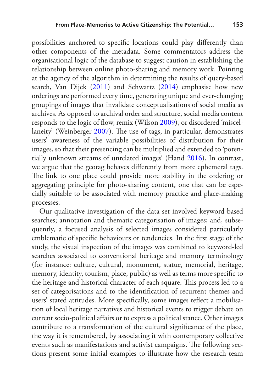possibilities anchored to specific locations could play differently than other components of the metadata. Some commentators address the organisational logic of the database to suggest caution in establishing the relationship between online photo-sharing and memory work. Pointing at the agency of the algorithm in determining the results of query-based search, Van Dijck [\(2011](#page-22-8)) and Schwartz [\(2014](#page-22-9)) emphasise how new orderings are performed every time, generating unique and ever-changing groupings of images that invalidate conceptualisations of social media as archives. As opposed to archival order and structure, social media content responds to the logic of flow, remix (Wilson [2009](#page-22-10)), or disordered 'miscellaneity' (Weinberger [2007](#page-22-11)). The use of tags, in particular, demonstrates users' awareness of the variable possibilities of distribution for their images, so that their presencing can be multiplied and extended to 'potentially unknown streams of unrelated images' (Hand [2016](#page-21-8)). In contrast, we argue that the geotag behaves differently from more ephemeral tags. The link to one place could provide more stability in the ordering or aggregating principle for photo-sharing content, one that can be especially suitable to be associated with memory practice and place-making processes.

Our qualitative investigation of the data set involved keyword-based searches; annotation and thematic categorisation of images; and, subsequently, a focused analysis of selected images considered particularly emblematic of specific behaviours or tendencies. In the first stage of the study, the visual inspection of the images was combined to keyword-led searches associated to conventional heritage and memory terminology (for instance: culture, cultural, monument, statue, memorial, heritage, memory, identity, tourism, place, public) as well as terms more specific to the heritage and historical character of each square. This process led to a set of categorisations and to the identification of recurrent themes and users' stated attitudes. More specifically, some images reflect a mobilisation of local heritage narratives and historical events to trigger debate on current socio-political affairs or to express a political stance. Other images contribute to a transformation of the cultural significance of the place, the way it is remembered, by associating it with contemporary collective events such as manifestations and activist campaigns. The following sections present some initial examples to illustrate how the research team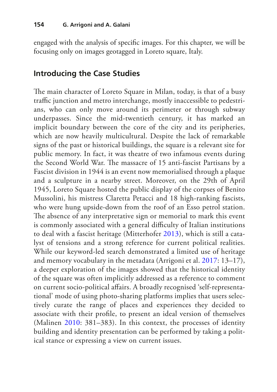engaged with the analysis of specific images. For this chapter, we will be focusing only on images geotagged in Loreto square, Italy.

#### **Introducing the Case Studies**

The main character of Loreto Square in Milan, today, is that of a busy traffic junction and metro interchange, mostly inaccessible to pedestrians, who can only move around its perimeter or through subway underpasses. Since the mid-twentieth century, it has marked an implicit boundary between the core of the city and its peripheries, which are now heavily multicultural. Despite the lack of remarkable signs of the past or historical buildings, the square is a relevant site for public memory. In fact, it was theatre of two infamous events during the Second World War. The massacre of 15 anti-fascist Partisans by a Fascist division in 1944 is an event now memorialised through a plaque and a sculpture in a nearby street. Moreover, on the 29th of April 1945, Loreto Square hosted the public display of the corpses of Benito Mussolini, his mistress Claretta Petacci and 18 high-ranking fascists, who were hung upside-down from the roof of an Esso petrol station. The absence of any interpretative sign or memorial to mark this event is commonly associated with a general difficulty of Italian institutions to deal with a fascist heritage (Mitterhofer [2013](#page-22-12)), which is still a catalyst of tensions and a strong reference for current political realities. While our keyword-led search demonstrated a limited use of heritage and memory vocabulary in the metadata (Arrigoni et al. [2017:](#page-20-1) 13–17), a deeper exploration of the images showed that the historical identity of the square was often implicitly addressed as a reference to comment on current socio-political affairs. A broadly recognised 'self-representational' mode of using photo-sharing platforms implies that users selectively curate the range of places and experiences they decided to associate with their profile, to present an ideal version of themselves (Malinen [2010](#page-21-12): 381–383). In this context, the processes of identity building and identity presentation can be performed by taking a political stance or expressing a view on current issues.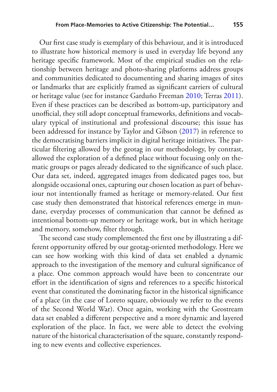Our first case study is exemplary of this behaviour, and it is introduced to illustrate how historical memory is used in everyday life beyond any heritage specific framework. Most of the empirical studies on the relationship between heritage and photo-sharing platforms address groups and communities dedicated to documenting and sharing images of sites or landmarks that are explicitly framed as significant carriers of cultural or heritage value (see for instance Garduño Freeman [2010](#page-20-10); Terras [2011\)](#page-22-13). Even if these practices can be described as bottom-up, participatory and unofficial, they still adopt conceptual frameworks, definitions and vocabulary typical of institutional and professional discourse; this issue has been addressed for instance by Taylor and Gibson [\(2017](#page-22-14)) in reference to the democratising barriers implicit in digital heritage initiatives. The particular filtering allowed by the geotag in our methodology, by contrast, allowed the exploration of a defined place without focusing only on thematic groups or pages already dedicated to the significance of such place. Our data set, indeed, aggregated images from dedicated pages too, but alongside occasional ones, capturing our chosen location as part of behaviour not intentionally framed as heritage or memory-related. Our first case study then demonstrated that historical references emerge in mundane, everyday processes of communication that cannot be defined as intentional bottom-up memory or heritage work, but in which heritage and memory, somehow, filter through.

The second case study complemented the first one by illustrating a different opportunity offered by our geotag-oriented methodology. Here we can see how working with this kind of data set enabled a dynamic approach to the investigation of the memory and cultural significance of a place. One common approach would have been to concentrate our effort in the identification of signs and references to a specific historical event that constituted the dominating factor in the historical significance of a place (in the case of Loreto square, obviously we refer to the events of the Second World War). Once again, working with the Geostream data set enabled a different perspective and a more dynamic and layered exploration of the place. In fact, we were able to detect the evolving nature of the historical characterisation of the square, constantly responding to new events and collective experiences.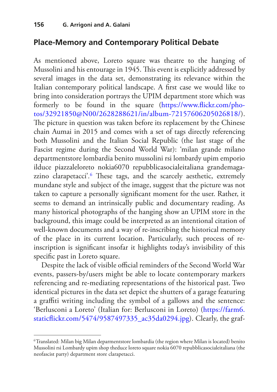#### **Place-Memory and Contemporary Political Debate**

As mentioned above, Loreto square was theatre to the hanging of Mussolini and his entourage in 1945. This event is explicitly addressed by several images in the data set, demonstrating its relevance within the Italian contemporary political landscape. A first case we would like to bring into consideration portrays the UPIM department store which was formerly to be found in the square ([https://www.flickr.com/pho](https://www.flickr.com/photos/32921850@N00/2628288621/in/album-72157606205026818)[tos/32921850@N00/2628288621/in/album-72157606205026818/\)](https://www.flickr.com/photos/32921850@N00/2628288621/in/album-72157606205026818). The picture in question was taken before its replacement by the Chinese chain Aumai in 2015 and comes with a set of tags directly referencing both Mussolini and the Italian Social Republic (the last stage of the Fascist regime during the Second World War): 'milan grande milano departmentstore lombardia benito mussolini rsi lombardy upim emporio ilduce piazzaleloreto nokia6070 repubblicasocialeitaliana grandemagazzino clarapetacci'*.* [6](#page-11-0) These tags, and the scarcely aesthetic, extremely mundane style and subject of the image, suggest that the picture was not taken to capture a personally significant moment for the user. Rather, it seems to demand an intrinsically public and documentary reading. As many historical photographs of the hanging show an UPIM store in the background, this image could be interpreted as an intentional citation of well-known documents and a way of re-inscribing the historical memory of the place in its current location. Particularly, such process of reinscription is significant insofar it highlights today's invisibility of this specific past in Loreto square.

Despite the lack of visible official reminders of the Second World War events, passers-by/users might be able to locate contemporary markers referencing and re-mediating representations of the historical past. Two identical pictures in the data set depict the shutters of a garage featuring a graffiti writing including the symbol of a gallows and the sentence: 'Berlusconi a Loreto' (Italian for: Berlusconi in Loreto) ([https://farm6.](https://farm6.staticflickr.com/5474/9587497335_ac35da0294.jpg) [staticflickr.com/5474/9587497335\\_ac35da0294.jpg\)](https://farm6.staticflickr.com/5474/9587497335_ac35da0294.jpg). Clearly, the graf-

<span id="page-11-0"></span><sup>6</sup>Translated: Milan big Milan deparmentstore lombardia (the region where Milan is located) benito Mussolini rsi Lombardy upim shop theduce loreto square nokia 6070 repubblicasocialeitaliana (the neofascist party) department store clarapetacci.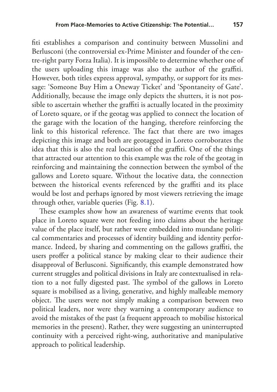fiti establishes a comparison and continuity between Mussolini and Berlusconi (the controversial ex-Prime Minister and founder of the centre-right party Forza Italia). It is impossible to determine whether one of the users uploading this image was also the author of the graffiti. However, both titles express approval, sympathy, or support for its message: 'Someone Buy Him a Oneway Ticket' and 'Spontaneity of Gate'. Additionally, because the image only depicts the shutters, it is not possible to ascertain whether the graffiti is actually located in the proximity of Loreto square, or if the geotag was applied to connect the location of the garage with the location of the hanging, therefore reinforcing the link to this historical reference. The fact that there are two images depicting this image and both are geotagged in Loreto corroborates the idea that this is also the real location of the graffiti. One of the things that attracted our attention to this example was the role of the geotag in reinforcing and maintaining the connection between the symbol of the gallows and Loreto square. Without the locative data, the connection between the historical events referenced by the graffiti and its place would be lost and perhaps ignored by most viewers retrieving the image through other, variable queries (Fig. [8.1](#page-13-0)).

These examples show how an awareness of wartime events that took place in Loreto square were not feeding into claims about the heritage value of the place itself, but rather were embedded into mundane political commentaries and processes of identity building and identity performance. Indeed, by sharing and commenting on the gallows graffiti, the users proffer a political stance by making clear to their audience their disapproval of Berlusconi. Significantly, this example demonstrated how current struggles and political divisions in Italy are contextualised in relation to a not fully digested past. The symbol of the gallows in Loreto square is mobilised as a living, generative, and highly malleable memory object. The users were not simply making a comparison between two political leaders, nor were they warning a contemporary audience to avoid the mistakes of the past (a frequent approach to mobilise historical memories in the present). Rather, they were suggesting an uninterrupted continuity with a perceived right-wing, authoritative and manipulative approach to political leadership.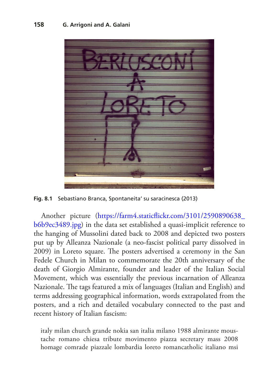<span id="page-13-0"></span>

**Fig. 8.1** Sebastiano Branca, Spontaneita' su saracinesca (2013)

Another picture ([https://farm4.staticflickr.com/3101/2590890638\\_](https://farm4.staticflickr.com/3101/2590890638_b6b9ec3489.jpg) [b6b9ec3489.jpg\)](https://farm4.staticflickr.com/3101/2590890638_b6b9ec3489.jpg) in the data set established a quasi-implicit reference to the hanging of Mussolini dated back to 2008 and depicted two posters put up by Alleanza Nazionale (a neo-fascist political party dissolved in 2009) in Loreto square. The posters advertised a ceremony in the San Fedele Church in Milan to commemorate the 20th anniversary of the death of Giorgio Almirante, founder and leader of the Italian Social Movement, which was essentially the previous incarnation of Alleanza Nazionale. The tags featured a mix of languages (Italian and English) and terms addressing geographical information, words extrapolated from the posters, and a rich and detailed vocabulary connected to the past and recent history of Italian fascism:

italy milan church grande nokia san italia milano 1988 almirante moustache romano chiesa tribute movimento piazza secretary mass 2008 homage comrade piazzale lombardia loreto romancatholic italiano msi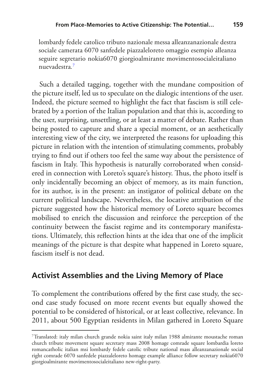lombardy fedele catolico tributo nazionale messa alleanzanazionale destra sociale camerata 6070 sanfedele piazzaleloreto omaggio esempio alleanza seguire segretario nokia6070 giorgioalmirante movimentosocialeitaliano nuevadestra*.* [7](#page-14-0)

Such a detailed tagging, together with the mundane composition of the picture itself, led us to speculate on the dialogic intentions of the user. Indeed, the picture seemed to highlight the fact that fascism is still celebrated by a portion of the Italian population and that this is, according to the user, surprising, unsettling, or at least a matter of debate. Rather than being posted to capture and share a special moment, or an aesthetically interesting view of the city, we interpreted the reasons for uploading this picture in relation with the intention of stimulating comments, probably trying to find out if others too feel the same way about the persistence of fascism in Italy. This hypothesis is naturally corroborated when considered in connection with Loreto's square's history. Thus, the photo itself is only incidentally becoming an object of memory, as its main function, for its author, is in the present: an instigator of political debate on the current political landscape. Nevertheless, the locative attribution of the picture suggested how the historical memory of Loreto square becomes mobilised to enrich the discussion and reinforce the perception of the continuity between the fascist regime and its contemporary manifestations. Ultimately, this reflection hints at the idea that one of the implicit meanings of the picture is that despite what happened in Loreto square, fascism itself is not dead.

#### **Activist Assemblies and the Living Memory of Place**

To complement the contributions offered by the first case study, the second case study focused on more recent events but equally showed the potential to be considered of historical, or at least collective, relevance. In 2011, about 500 Egyptian residents in Milan gathered in Loreto Square

<span id="page-14-0"></span><sup>7</sup>Translated: italy milan church grande nokia saint italy milan 1988 almirante moustache roman church tribute movement square secretary mass 2008 homage comrade square lombardia loreto romancatholic italian msi lombardy fedele catolic tribute national mass alleanzanazionale social right comrade 6070 sanfedele piazzaleloreto homage example alliance follow secretary nokia6070 giorgioalmirante movimentosocialeitaliano new-right-party.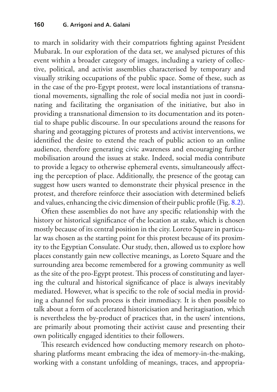to march in solidarity with their compatriots fighting against President Mubarak. In our exploration of the data set, we analysed pictures of this event within a broader category of images, including a variety of collective, political, and activist assemblies characterised by temporary and visually striking occupations of the public space. Some of these, such as in the case of the pro-Egypt protest, were local instantiations of transnational movements, signalling the role of social media not just in coordinating and facilitating the organisation of the initiative, but also in providing a transnational dimension to its documentation and its potential to shape public discourse. In our speculations around the reasons for sharing and geotagging pictures of protests and activist interventions, we identified the desire to extend the reach of public action to an online audience, therefore generating civic awareness and encouraging further mobilisation around the issues at stake. Indeed, social media contribute to provide a legacy to otherwise ephemeral events, simultaneously affecting the perception of place. Additionally, the presence of the geotag can suggest how users wanted to demonstrate their physical presence in the protest, and therefore reinforce their association with determined beliefs and values, enhancing the civic dimension of their public profile (Fig. [8.2\)](#page-16-0).

Often these assemblies do not have any specific relationship with the history or historical significance of the location at stake, which is chosen mostly because of its central position in the city. Loreto Square in particular was chosen as the starting point for this protest because of its proximity to the Egyptian Consulate. Our study, then, allowed us to explore how places constantly gain new collective meanings, as Loreto Square and the surrounding area become remembered for a growing community as well as the site of the pro-Egypt protest. This process of constituting and layering the cultural and historical significance of place is always inevitably mediated. However, what is specific to the role of social media in providing a channel for such process is their immediacy. It is then possible to talk about a form of accelerated historicisation and heritagisation, which is nevertheless the by-product of practices that, in the users' intentions, are primarily about promoting their activist cause and presenting their own politically engaged identities to their followers.

This research evidenced how conducting memory research on photosharing platforms meant embracing the idea of memory-in-the-making, working with a constant unfolding of meanings, traces, and appropria-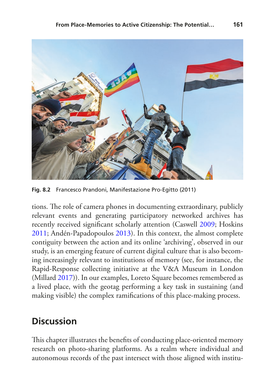<span id="page-16-0"></span>

**Fig. 8.2** Francesco Prandoni, Manifestazione Pro-Egitto (2011)

tions. The role of camera phones in documenting extraordinary, publicly relevant events and generating participatory networked archives has recently received significant scholarly attention (Caswell [2009;](#page-20-11) Hoskins [2011](#page-21-13); Andén-Papadopoulos [2013](#page-20-12)). In this context, the almost complete contiguity between the action and its online 'archiving', observed in our study, is an emerging feature of current digital culture that is also becoming increasingly relevant to institutions of memory (see, for instance, the Rapid-Response collecting initiative at the V&A Museum in London (Millard [2017](#page-22-15))). In our examples, Loreto Square becomes remembered as a lived place, with the geotag performing a key task in sustaining (and making visible) the complex ramifications of this place-making process.

## **Discussion**

This chapter illustrates the benefits of conducting place-oriented memory research on photo-sharing platforms. As a realm where individual and autonomous records of the past intersect with those aligned with institu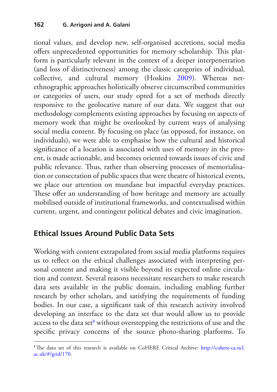tional values, and develop new, self-organised accretions, social media offers unprecedented opportunities for memory scholarship. This platform is particularly relevant in the context of a deeper interpenetration (and loss of distinctiveness) among the classic categories of individual, collective, and cultural memory (Hoskins [2009](#page-21-14)). Whereas netethnographic approaches holistically observe circumscribed communities or categories of users, our study opted for a set of methods directly responsive to the geolocative nature of our data. We suggest that our methodology complements existing approaches by focusing on aspects of memory work that might be overlooked by current ways of analysing social media content. By focusing on place (as opposed, for instance, on individuals), we were able to emphasise how the cultural and historical significance of a location is associated with uses of memory in the present, is made actionable, and becomes oriented towards issues of civic and public relevance. Thus, rather than observing processes of memorialisation or consecration of public spaces that were theatre of historical events, we place our attention on mundane but impactful everyday practices. These offer an understanding of how heritage and memory are actually mobilised outside of institutional frameworks, and contextualised within current, urgent, and contingent political debates and civic imagination.

#### **Ethical Issues Around Public Data Sets**

Working with content extrapolated from social media platforms requires us to reflect on the ethical challenges associated with interpreting personal content and making it visible beyond its expected online circulation and context. Several reasons necessitate researchers to make research data sets available in the public domain, including enabling further research by other scholars, and satisfying the requirements of funding bodies. In our case, a significant task of this research activity involved developing an interface to the data set that would allow us to provide access to the data set<sup>8</sup> without overstepping the restrictions of use and the specific privacy concerns of the source photo-sharing platforms. To

<span id="page-17-0"></span><sup>&</sup>lt;sup>8</sup>The data set of this research is available on CoHERE Critical Archive: [http://cohere-ca.ncl.](http://cohere-ca.ncl.ac.uk/#/grid/170) [ac.uk/#/grid/170.](http://cohere-ca.ncl.ac.uk/#/grid/170)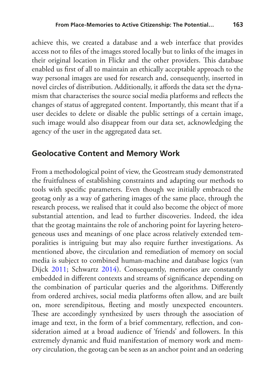achieve this, we created a database and a web interface that provides access not to files of the images stored locally but to links of the images in their original location in Flickr and the other providers. This database enabled us first of all to maintain an ethically acceptable approach to the way personal images are used for research and, consequently, inserted in novel circles of distribution. Additionally, it affords the data set the dynamism that characterises the source social media platforms and reflects the changes of status of aggregated content. Importantly, this meant that if a user decides to delete or disable the public settings of a certain image, such image would also disappear from our data set, acknowledging the agency of the user in the aggregated data set.

#### **Geolocative Content and Memory Work**

From a methodological point of view, the Geostream study demonstrated the fruitfulness of establishing constraints and adapting our methods to tools with specific parameters. Even though we initially embraced the geotag only as a way of gathering images of the same place, through the research process, we realised that it could also become the object of more substantial attention, and lead to further discoveries. Indeed, the idea that the geotag maintains the role of anchoring point for layering heterogeneous uses and meanings of one place across relatively extended temporalities is intriguing but may also require further investigations. As mentioned above, the circulation and remediation of memory on social media is subject to combined human-machine and database logics (van Diick [2011;](#page-22-8) Schwartz [2014\)](#page-22-9). Consequently, memories are constantly embedded in different contexts and streams of significance depending on the combination of particular queries and the algorithms. Differently from ordered archives, social media platforms often allow, and are built on, more serendipitous, fleeting and mostly unexpected encounters. These are accordingly synthesized by users through the association of image and text, in the form of a brief commentary, reflection, and consideration aimed at a broad audience of 'friends' and followers. In this extremely dynamic and fluid manifestation of memory work and memory circulation, the geotag can be seen as an anchor point and an ordering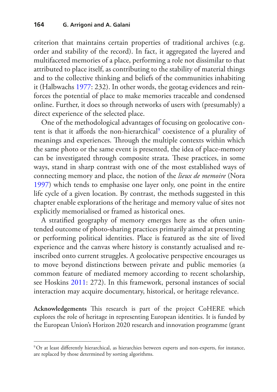criterion that maintains certain properties of traditional archives (e.g. order and stability of the record). In fact, it aggregated the layered and multifaceted memories of a place, performing a role not dissimilar to that attributed to place itself, as contributing to the stability of material things and to the collective thinking and beliefs of the communities inhabiting it (Halbwachs [1977:](#page-21-15) 232). In other words, the geotag evidences and reinforces the potential of place to make memories traceable and condensed online. Further, it does so through networks of users with (presumably) a direct experience of the selected place.

One of the methodological advantages of focusing on geolocative content is that it affords the non-hierarchical<sup>9</sup> coexistence of a plurality of meanings and experiences. Through the multiple contexts within which the same photo or the same event is presented, the idea of place-memory can be investigated through composite strata. These practices, in some ways, stand in sharp contrast with one of the most established ways of connecting memory and place, the notion of the *lieux de memoire* (Nora [1997](#page-22-16)) which tends to emphasise one layer only, one point in the entire life cycle of a given location. By contrast, the methods suggested in this chapter enable explorations of the heritage and memory value of sites not explicitly memorialised or framed as historical ones.

A stratified geography of memory emerges here as the often unintended outcome of photo-sharing practices primarily aimed at presenting or performing political identities. Place is featured as the site of lived experience and the canvas where history is constantly actualised and reinscribed onto current struggles. A geolocative perspective encourages us to move beyond distinctions between private and public memories (a common feature of mediated memory according to recent scholarship, see Hoskins [2011](#page-21-13): 272). In this framework, personal instances of social interaction may acquire documentary, historical, or heritage relevance.

**Acknowledgements** This research is part of the project CoHERE which explores the role of heritage in representing European identities. It is funded by the European Union's Horizon 2020 research and innovation programme (grant

<span id="page-19-0"></span><sup>9</sup>Or at least differently hierarchical, as hierarchies between experts and non-experts, for instance, are replaced by those determined by sorting algorithms.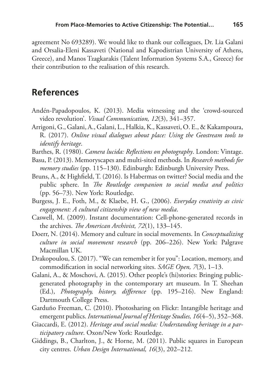agreement No 693289). We would like to thank our colleagues, Dr. Lia Galani and Orsalia-Eleni Kassaveti (National and Kapodistrian University of Athens, Greece), and Manos Tzagkarakis (Talent Information Systems S.A., Greece) for their contribution to the realisation of this research.

## **References**

- <span id="page-20-12"></span>Andén-Papadopoulos, K. (2013). Media witnessing and the 'crowd-sourced video revolution'. *Visual Communication, 12*(3), 341–357.
- <span id="page-20-1"></span>Arrigoni, G., Galani, A., Galani, L., Halkia, K., Kassaveti, O. E., & Kakampoura, R. (2017). *Online visual dialogues about place: Using the Geostream tools to identify heritage*.
- <span id="page-20-2"></span>Barthes, R. (1980). *Camera lucida: Reflections on photography*. London: Vintage.
- <span id="page-20-0"></span>Basu, P. (2013). Memoryscapes and multi-sited methods. In *Research methods for memory studies* (pp. 115–130). Edinburgh: Edinburgh University Press.
- <span id="page-20-7"></span>Bruns, A., & Highfield, T. (2016). Is Habermas on twitter? Social media and the public sphere. In *The Routledge companion to social media and politics* (pp. 56–73). New York: Routledge.
- <span id="page-20-6"></span>Burgess, J. E., Foth, M., & Klaebe, H. G., (2006). *Everyday creativity as civic engagement: A cultural citizenship view of new media*.
- <span id="page-20-11"></span>Caswell, M. (2009). Instant documentation: Cell-phone-generated records in the archives. *The American Archivist, 72*(1), 133–145.
- <span id="page-20-5"></span>Doerr, N. (2014). Memory and culture in social movements. In *Conceptualizing culture in social movement research* (pp. 206–226). New York: Palgrave Macmillan UK.
- <span id="page-20-9"></span>Drakopoulou, S. (2017). "We can remember it for you": Location, memory, and commodification in social networking sites. *SAGE Open, 7*(3), 1–13.
- <span id="page-20-4"></span>Galani, A., & Moschovi, A. (2015). Other people's (hi)stories: Bringing publicgenerated photography in the contemporary art museum. In T. Sheehan (Ed.), *Photography, history, difference* (pp. 195–216). New England: Dartmouth College Press.
- <span id="page-20-10"></span>Garduño Freeman, C. (2010). Photosharing on Flickr: Intangible heritage and emergent publics. *International Journal of Heritage Studies, 16*(4–5), 352–368.
- <span id="page-20-3"></span>Giaccardi, E. (2012). *Heritage and social media: Understanding heritage in a participatory culture*. Oxon/New York: Routledge.
- <span id="page-20-8"></span>Giddings, B., Charlton, J., & Horne, M. (2011). Public squares in European city centres. *Urban Design International, 16*(3), 202–212.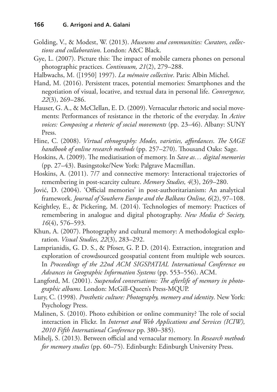- <span id="page-21-9"></span>Golding, V., & Modest, W. (2013). *Museums and communities: Curators, collections and collaboration*. London: A&C Black.
- <span id="page-21-5"></span>Gye, L. (2007). Picture this: The impact of mobile camera phones on personal photographic practices. *Continuum, 21*(2), 279–288.
- <span id="page-21-15"></span>Halbwachs, M. ([1950] 1997). *La mémoire collective*. Paris: Albin Michel.
- <span id="page-21-8"></span>Hand, M. (2016). Persistent traces, potential memories: Smartphones and the negotiation of visual, locative, and textual data in personal life. *Convergence, 22*(3), 269–286.
- <span id="page-21-10"></span>Hauser, G. A., & McClellan, E. D. (2009). Vernacular rhetoric and social movements: Performances of resistance in the rhetoric of the everyday. In *Active voices: Composing a rhetoric of social movements* (pp. 23–46). Albany: SUNY Press.
- <span id="page-21-1"></span>Hine, C. (2008). *Virtual ethnography: Modes, varieties, affordances*. *The SAGE handbook of online research methods* (pp. 257–270). Thousand Oaks: Sage.
- <span id="page-21-14"></span>Hoskins, A. (2009). The mediatisation of memory. In *Save as… digital memories* (pp. 27–43). Basingstoke/New York: Palgrave Macmillan.
- <span id="page-21-13"></span>Hoskins, A. (2011). 7/7 and connective memory: Interactional trajectories of remembering in post-scarcity culture. *Memory Studies, 4*(3), 269–280.
- <span id="page-21-7"></span>Jović, D. (2004). 'Official memories' in post-authoritarianism: An analytical framework. *Journal of Southern Europe and the Balkans Online, 6*(2), 97–108.
- <span id="page-21-6"></span>Keightley, E., & Pickering, M. (2014). Technologies of memory: Practices of remembering in analogue and digital photography. *New Media & Society, 16*(4), 576–593.
- <span id="page-21-4"></span>Khun, A. (2007). Photography and cultural memory: A methodological exploration. *Visual Studies, 22*(3), 283–292.
- <span id="page-21-11"></span>Lamprianidis, G. D. S., & Pfoser, G. P. D. (2014). Extraction, integration and exploration of crowdsourced geospatial content from multiple web sources. In *Proceedings of the 22nd ACM SIGSPATIAL International Conference on Advances in Geographic Information Systems* (pp. 553–556). ACM.
- <span id="page-21-3"></span>Langford, M. (2001). *Suspended conversations: The afterlife of memory in photographic albums*. London: McGill-Queen's Press-MQUP.
- <span id="page-21-2"></span>Lury, C. (1998). *Prosthetic culture: Photography, memory and identity*. New York: Psychology Press.
- <span id="page-21-12"></span>Malinen, S. (2010). Photo exhibition or online community? The role of social interaction in Flickr. In *Internet and Web Applications and Services (ICIW), 2010 Fifth International Conference* pp. 380–385).
- <span id="page-21-0"></span>Mihelj, S. (2013). Between official and vernacular memory. In *Research methods for memory studies* (pp. 60–75). Edinburgh: Edinburgh University Press.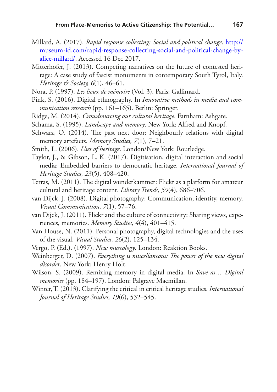- <span id="page-22-15"></span>Millard, A. (2017). *Rapid response collecting: Social and political change*. [http://](http://museum-id.com/rapid-response-collecting-social-and-political-change-by-alice-millard/) [museum-id.com/rapid-response-collecting-social-and-political-change-by](http://museum-id.com/rapid-response-collecting-social-and-political-change-by-alice-millard/)[alice-millard/.](http://museum-id.com/rapid-response-collecting-social-and-political-change-by-alice-millard/) Accessed 16 Dec 2017.
- <span id="page-22-12"></span>Mitterhofer, J. (2013). Competing narratives on the future of contested heritage: A case study of fascist monuments in contemporary South Tyrol, Italy. *Heritage & Society, 6*(1), 46–61.
- <span id="page-22-16"></span>Nora, P. (1997). *Les lieux de mémoire* (Vol. 3). Paris: Gallimard.
- <span id="page-22-2"></span>Pink, S. (2016). Digital ethnography. In *Innovative methods in media and communication research* (pp. 161–165). Berlin: Springer.
- <span id="page-22-5"></span>Ridge, M. (2014). *Crowdsourcing our cultural heritage*. Farnham: Ashgate.
- <span id="page-22-0"></span>Schama, S. (1995). *Landscape and memory*. New York: Alfred and Knopf.
- <span id="page-22-9"></span>Schwarz, O. (2014). The past next door: Neighbourly relations with digital memory artefacts. *Memory Studies, 7*(1), 7–21.
- <span id="page-22-1"></span>Smith, L. (2006). *Uses of heritage*. London/New York: Routledge.
- <span id="page-22-14"></span>Taylor, J., & Gibson, L. K. (2017). Digitisation, digital interaction and social media: Embedded barriers to democratic heritage. *International Journal of Heritage Studies, 23*(5), 408–420.
- <span id="page-22-13"></span>Terras, M. (2011). The digital wunderkammer: Flickr as a platform for amateur cultural and heritage content. *Library Trends, 59*(4), 686–706.
- <span id="page-22-3"></span>van Dijck, J. (2008). Digital photography: Communication, identity, memory. *Visual Communication, 7*(1), 57–76.
- <span id="page-22-8"></span>van Dijck, J. (2011). Flickr and the culture of connectivity: Sharing views, experiences, memories. *Memory Studies, 4*(4), 401–415.
- <span id="page-22-4"></span>Van House, N. (2011). Personal photography, digital technologies and the uses of the visual. *Visual Studies, 26*(2), 125–134.
- <span id="page-22-6"></span>Vergo, P. (Ed.). (1997). *New museology*. London: Reaktion Books.
- <span id="page-22-11"></span>Weinberger, D. (2007). *Everything is miscellaneous: The power of the new digital disorder*. New York: Henry Holt.
- <span id="page-22-10"></span>Wilson, S. (2009). Remixing memory in digital media. In *Save as… Digital memories* (pp. 184–197). London: Palgrave Macmillan.
- <span id="page-22-7"></span>Winter, T. (2013). Clarifying the critical in critical heritage studies. *International Journal of Heritage Studies, 19*(6), 532–545.